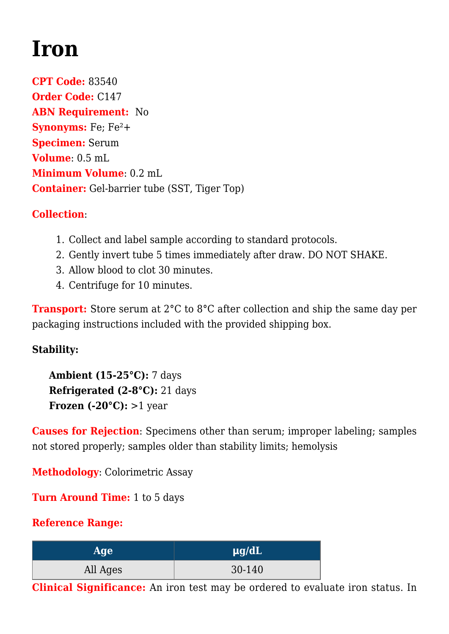## **[Iron](https://www.clevelandheartlab.com/tests/iron/)**

**CPT Code:** 83540 **Order Code:** C147 **ABN Requirement:** No **Synonyms:** Fe; Fe<sup>2</sup>+ **Specimen:** Serum **Volume**: 0.5 mL **Minimum Volume**: 0.2 mL **Container:** Gel-barrier tube (SST, Tiger Top)

## **Collection**:

- 1. Collect and label sample according to standard protocols.
- 2. Gently invert tube 5 times immediately after draw. DO NOT SHAKE.
- 3. Allow blood to clot 30 minutes.
- 4. Centrifuge for 10 minutes.

**Transport:** Store serum at 2<sup>°</sup>C to 8<sup>°</sup>C after collection and ship the same day per packaging instructions included with the provided shipping box.

## **Stability:**

**Ambient (15-25°C):** 7 days **Refrigerated (2-8°C):** 21 days **Frozen (-20°C):** >1 year

**Causes for Rejection**: Specimens other than serum; improper labeling; samples not stored properly; samples older than stability limits; hemolysis

**Methodology**: Colorimetric Assay

**Turn Around Time:** 1 to 5 days

## **Reference Range:**

| <b>Age</b> | $\mu$ g/dL |
|------------|------------|
| All Ages   | 30-140     |

**Clinical Significance:** An iron test may be ordered to evaluate iron status. In